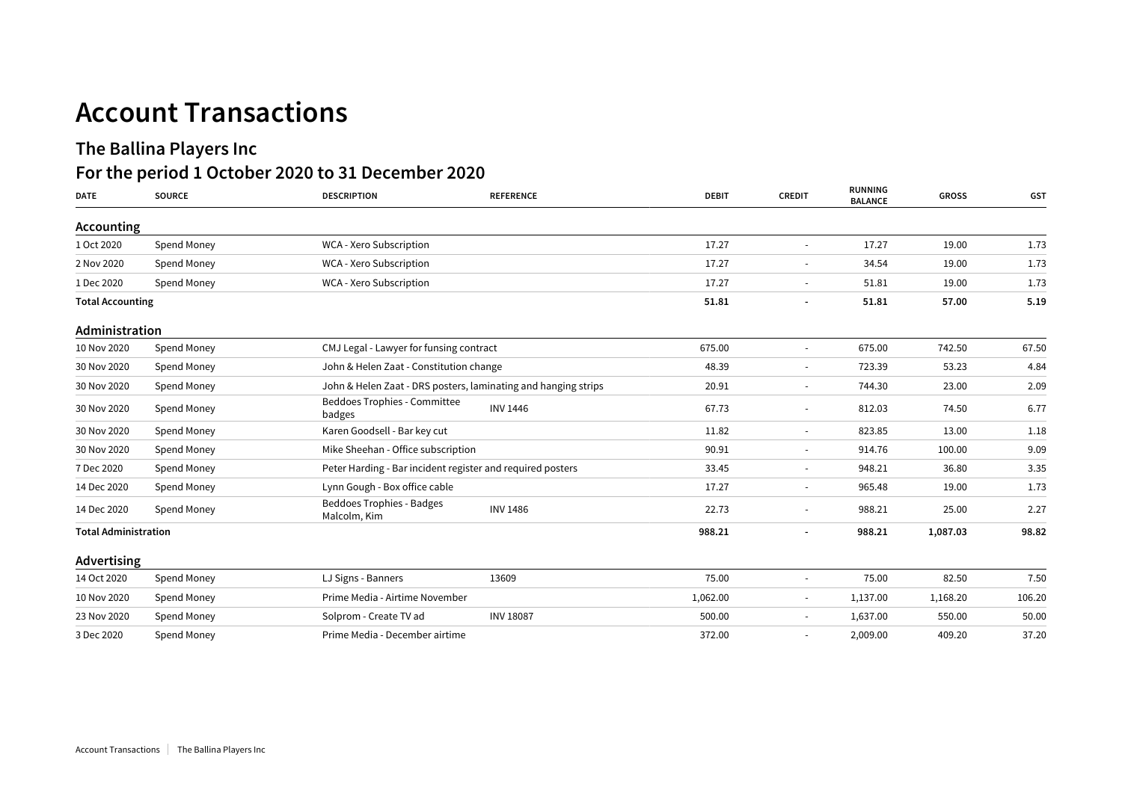## **Account Transactions**

## **The Ballina Players Inc**

## **For the period 1 October 2020 to 31 December 2020**

| <b>DATE</b>                 | <b>SOURCE</b> | <b>DESCRIPTION</b>                                             | <b>REFERENCE</b> | <b>DEBIT</b> | <b>CREDIT</b>            | <b>RUNNING</b><br><b>BALANCE</b> | <b>GROSS</b> | <b>GST</b> |
|-----------------------------|---------------|----------------------------------------------------------------|------------------|--------------|--------------------------|----------------------------------|--------------|------------|
| Accounting                  |               |                                                                |                  |              |                          |                                  |              |            |
| 1 Oct 2020                  | Spend Money   | WCA - Xero Subscription                                        |                  | 17.27        |                          | 17.27                            | 19.00        | 1.73       |
| 2 Nov 2020                  | Spend Money   | WCA - Xero Subscription                                        |                  | 17.27        |                          | 34.54                            | 19.00        | 1.73       |
| 1 Dec 2020                  | Spend Money   | WCA - Xero Subscription                                        |                  | 17.27        |                          | 51.81                            | 19.00        | 1.73       |
| <b>Total Accounting</b>     |               |                                                                |                  | 51.81        |                          | 51.81                            | 57.00        | 5.19       |
| Administration              |               |                                                                |                  |              |                          |                                  |              |            |
| 10 Nov 2020                 | Spend Money   | CMJ Legal - Lawyer for funsing contract                        |                  | 675.00       | $\overline{\phantom{a}}$ | 675.00                           | 742.50       | 67.50      |
| 30 Nov 2020                 | Spend Money   | John & Helen Zaat - Constitution change                        |                  | 48.39        | $\overline{\phantom{a}}$ | 723.39                           | 53.23        | 4.84       |
| 30 Nov 2020                 | Spend Money   | John & Helen Zaat - DRS posters, laminating and hanging strips |                  | 20.91        | $\overline{\phantom{a}}$ | 744.30                           | 23.00        | 2.09       |
| 30 Nov 2020                 | Spend Money   | Beddoes Trophies - Committee<br>badges                         | <b>INV 1446</b>  | 67.73        | $\overline{\phantom{a}}$ | 812.03                           | 74.50        | 6.77       |
| 30 Nov 2020                 | Spend Money   | Karen Goodsell - Bar key cut                                   |                  | 11.82        | $\sim$                   | 823.85                           | 13.00        | 1.18       |
| 30 Nov 2020                 | Spend Money   | Mike Sheehan - Office subscription                             |                  | 90.91        | $\sim$                   | 914.76                           | 100.00       | 9.09       |
| 7 Dec 2020                  | Spend Money   | Peter Harding - Bar incident register and required posters     |                  | 33.45        | $\sim$                   | 948.21                           | 36.80        | 3.35       |
| 14 Dec 2020                 | Spend Money   | Lynn Gough - Box office cable                                  |                  | 17.27        | $\sim$                   | 965.48                           | 19.00        | 1.73       |
| 14 Dec 2020                 | Spend Money   | Beddoes Trophies - Badges<br>Malcolm, Kim                      | <b>INV 1486</b>  | 22.73        | $\sim$                   | 988.21                           | 25.00        | 2.27       |
| <b>Total Administration</b> |               |                                                                |                  | 988.21       |                          | 988.21                           | 1,087.03     | 98.82      |
| Advertising                 |               |                                                                |                  |              |                          |                                  |              |            |
| 14 Oct 2020                 | Spend Money   | LJ Signs - Banners                                             | 13609            | 75.00        | $\sim$                   | 75.00                            | 82.50        | 7.50       |
| 10 Nov 2020                 | Spend Money   | Prime Media - Airtime November                                 |                  | 1,062.00     | $\overline{\phantom{a}}$ | 1,137.00                         | 1,168.20     | 106.20     |
| 23 Nov 2020                 | Spend Money   | Solprom - Create TV ad                                         | <b>INV 18087</b> | 500.00       | $\sim$                   | 1,637.00                         | 550.00       | 50.00      |
| 3 Dec 2020                  | Spend Money   | Prime Media - December airtime                                 |                  | 372.00       | $\overline{\phantom{a}}$ | 2,009.00                         | 409.20       | 37.20      |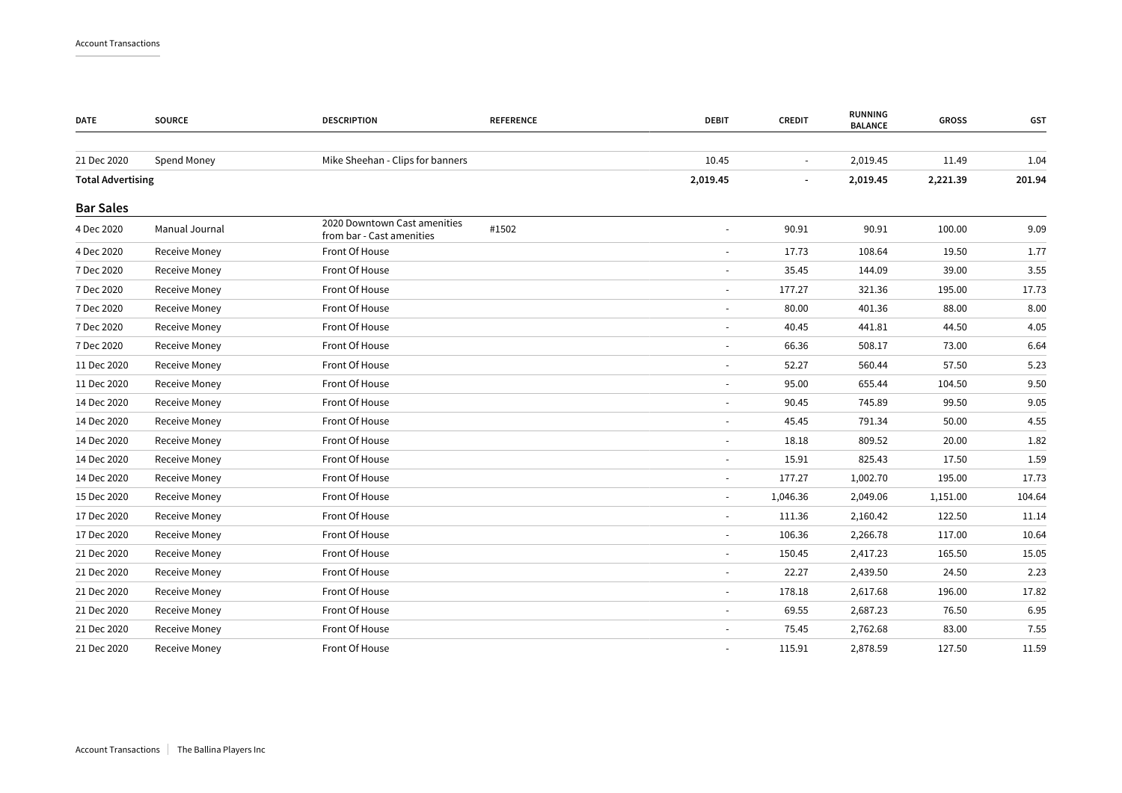| <b>DATE</b>              | <b>SOURCE</b>  | <b>DESCRIPTION</b>                                        | <b>REFERENCE</b> | <b>DEBIT</b>             | <b>CREDIT</b> | RUNNING<br><b>BALANCE</b> | <b>GROSS</b> | GST    |
|--------------------------|----------------|-----------------------------------------------------------|------------------|--------------------------|---------------|---------------------------|--------------|--------|
|                          |                |                                                           |                  |                          |               |                           |              |        |
| 21 Dec 2020              | Spend Money    | Mike Sheehan - Clips for banners                          |                  | 10.45                    | $\sim$        | 2,019.45                  | 11.49        | 1.04   |
| <b>Total Advertising</b> |                |                                                           |                  | 2,019.45                 |               | 2,019.45                  | 2,221.39     | 201.94 |
| <b>Bar Sales</b>         |                |                                                           |                  |                          |               |                           |              |        |
| 4 Dec 2020               | Manual Journal | 2020 Downtown Cast amenities<br>from bar - Cast amenities | #1502            |                          | 90.91         | 90.91                     | 100.00       | 9.09   |
| 4 Dec 2020               | Receive Money  | Front Of House                                            |                  | $\overline{\phantom{a}}$ | 17.73         | 108.64                    | 19.50        | 1.77   |
| 7 Dec 2020               | Receive Money  | Front Of House                                            |                  |                          | 35.45         | 144.09                    | 39.00        | 3.55   |
| 7 Dec 2020               | Receive Money  | Front Of House                                            |                  | $\sim$                   | 177.27        | 321.36                    | 195.00       | 17.73  |
| 7 Dec 2020               | Receive Money  | Front Of House                                            |                  |                          | 80.00         | 401.36                    | 88.00        | 8.00   |
| 7 Dec 2020               | Receive Money  | Front Of House                                            |                  | $\sim$                   | 40.45         | 441.81                    | 44.50        | 4.05   |
| 7 Dec 2020               | Receive Money  | Front Of House                                            |                  | $\sim$                   | 66.36         | 508.17                    | 73.00        | 6.64   |
| 11 Dec 2020              | Receive Money  | Front Of House                                            |                  | $\overline{\phantom{a}}$ | 52.27         | 560.44                    | 57.50        | 5.23   |
| 11 Dec 2020              | Receive Money  | Front Of House                                            |                  | $\sim$                   | 95.00         | 655.44                    | 104.50       | 9.50   |
| 14 Dec 2020              | Receive Money  | Front Of House                                            |                  |                          | 90.45         | 745.89                    | 99.50        | 9.05   |
| 14 Dec 2020              | Receive Money  | Front Of House                                            |                  | $\sim$                   | 45.45         | 791.34                    | 50.00        | 4.55   |
| 14 Dec 2020              | Receive Money  | Front Of House                                            |                  | $\overline{\phantom{a}}$ | 18.18         | 809.52                    | 20.00        | 1.82   |
| 14 Dec 2020              | Receive Money  | Front Of House                                            |                  | $\sim$                   | 15.91         | 825.43                    | 17.50        | 1.59   |
| 14 Dec 2020              | Receive Money  | Front Of House                                            |                  | $\sim$                   | 177.27        | 1,002.70                  | 195.00       | 17.73  |
| 15 Dec 2020              | Receive Money  | Front Of House                                            |                  |                          | 1,046.36      | 2,049.06                  | 1,151.00     | 104.64 |
| 17 Dec 2020              | Receive Money  | Front Of House                                            |                  | $\overline{\phantom{a}}$ | 111.36        | 2,160.42                  | 122.50       | 11.14  |
| 17 Dec 2020              | Receive Money  | Front Of House                                            |                  | $\sim$                   | 106.36        | 2,266.78                  | 117.00       | 10.64  |
| 21 Dec 2020              | Receive Money  | Front Of House                                            |                  | $\sim$                   | 150.45        | 2,417.23                  | 165.50       | 15.05  |
| 21 Dec 2020              | Receive Money  | Front Of House                                            |                  | $\sim$                   | 22.27         | 2,439.50                  | 24.50        | 2.23   |
| 21 Dec 2020              | Receive Money  | Front Of House                                            |                  |                          | 178.18        | 2,617.68                  | 196.00       | 17.82  |
| 21 Dec 2020              | Receive Money  | Front Of House                                            |                  | $\overline{\phantom{a}}$ | 69.55         | 2,687.23                  | 76.50        | 6.95   |
| 21 Dec 2020              | Receive Money  | Front Of House                                            |                  | $\sim$                   | 75.45         | 2,762.68                  | 83.00        | 7.55   |
| 21 Dec 2020              | Receive Money  | Front Of House                                            |                  |                          | 115.91        | 2,878.59                  | 127.50       | 11.59  |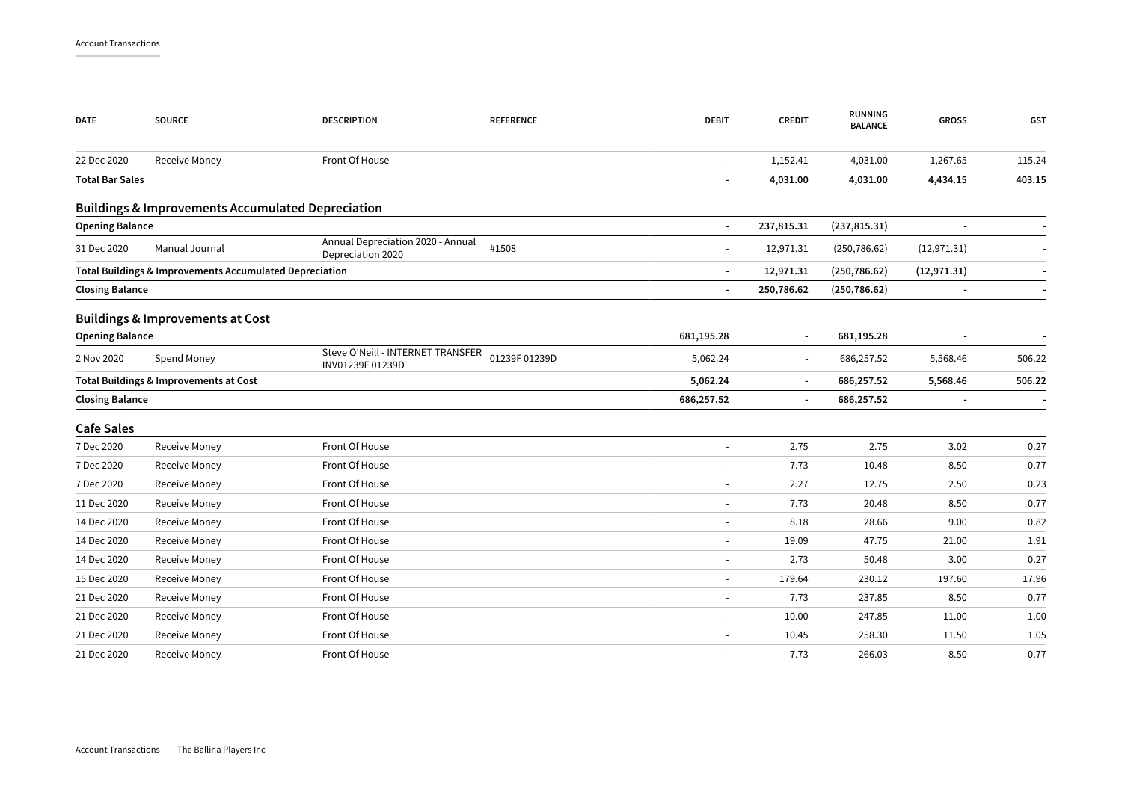| <b>DATE</b>            | <b>SOURCE</b>                                                | <b>DESCRIPTION</b>                                     | <b>REFERENCE</b> | <b>DEBIT</b>             | <b>CREDIT</b>            | <b>RUNNING</b><br><b>BALANCE</b> | <b>GROSS</b>             | GST    |
|------------------------|--------------------------------------------------------------|--------------------------------------------------------|------------------|--------------------------|--------------------------|----------------------------------|--------------------------|--------|
| 22 Dec 2020            | Receive Money                                                | Front Of House                                         |                  | $\omega$                 | 1,152.41                 | 4,031.00                         | 1,267.65                 | 115.24 |
| <b>Total Bar Sales</b> |                                                              |                                                        |                  | $\overline{\phantom{a}}$ | 4,031.00                 | 4,031.00                         | 4,434.15                 | 403.15 |
|                        | <b>Buildings &amp; Improvements Accumulated Depreciation</b> |                                                        |                  |                          |                          |                                  |                          |        |
| <b>Opening Balance</b> |                                                              |                                                        |                  | $\blacksquare$           | 237,815.31               | (237, 815.31)                    |                          |        |
| 31 Dec 2020            | Manual Journal                                               | Annual Depreciation 2020 - Annual<br>Depreciation 2020 | #1508            | $\sim$                   | 12,971.31                | (250, 786.62)                    | (12, 971.31)             |        |
|                        | Total Buildings & Improvements Accumulated Depreciation      |                                                        |                  | $\sim$                   | 12,971.31                | (250, 786.62)                    | (12, 971.31)             |        |
| <b>Closing Balance</b> |                                                              |                                                        |                  | $\sim$                   | 250,786.62               | (250, 786.62)                    | $\overline{\phantom{a}}$ |        |
|                        | <b>Buildings &amp; Improvements at Cost</b>                  |                                                        |                  |                          |                          |                                  |                          |        |
| <b>Opening Balance</b> |                                                              |                                                        |                  | 681,195.28               | $\overline{\phantom{a}}$ | 681,195.28                       |                          |        |
| 2 Nov 2020             | Spend Money                                                  | Steve O'Neill - INTERNET TRANSFER<br>INV01239F 01239D  | 01239F 01239D    | 5,062.24                 | $\sim$                   | 686,257.52                       | 5,568.46                 | 506.22 |
|                        | Total Buildings & Improvements at Cost                       |                                                        |                  | 5,062.24                 | $\overline{\phantom{a}}$ | 686,257.52                       | 5,568.46                 | 506.22 |
| <b>Closing Balance</b> |                                                              |                                                        |                  | 686,257.52               | $\sim$                   | 686,257.52                       |                          |        |
| <b>Cafe Sales</b>      |                                                              |                                                        |                  |                          |                          |                                  |                          |        |
| 7 Dec 2020             | Receive Money                                                | Front Of House                                         |                  |                          | 2.75                     | 2.75                             | 3.02                     | 0.27   |
| 7 Dec 2020             | Receive Money                                                | Front Of House                                         |                  | $\sim$                   | 7.73                     | 10.48                            | 8.50                     | 0.77   |
| 7 Dec 2020             | Receive Money                                                | Front Of House                                         |                  |                          | 2.27                     | 12.75                            | 2.50                     | 0.23   |
| 11 Dec 2020            | Receive Money                                                | Front Of House                                         |                  | $\overline{\phantom{a}}$ | 7.73                     | 20.48                            | 8.50                     | 0.77   |
| 14 Dec 2020            | Receive Money                                                | Front Of House                                         |                  |                          | 8.18                     | 28.66                            | 9.00                     | 0.82   |
| 14 Dec 2020            | Receive Money                                                | Front Of House                                         |                  |                          | 19.09                    | 47.75                            | 21.00                    | 1.91   |
| 14 Dec 2020            | Receive Money                                                | Front Of House                                         |                  | $\blacksquare$           | 2.73                     | 50.48                            | 3.00                     | 0.27   |
| 15 Dec 2020            | Receive Money                                                | Front Of House                                         |                  |                          | 179.64                   | 230.12                           | 197.60                   | 17.96  |
| 21 Dec 2020            | Receive Money                                                | Front Of House                                         |                  | $\sim$                   | 7.73                     | 237.85                           | 8.50                     | 0.77   |
| 21 Dec 2020            | Receive Money                                                | Front Of House                                         |                  |                          | 10.00                    | 247.85                           | 11.00                    | 1.00   |
| 21 Dec 2020            | Receive Money                                                | Front Of House                                         |                  |                          | 10.45                    | 258.30                           | 11.50                    | 1.05   |
| 21 Dec 2020            | Receive Money                                                | Front Of House                                         |                  |                          | 7.73                     | 266.03                           | 8.50                     | 0.77   |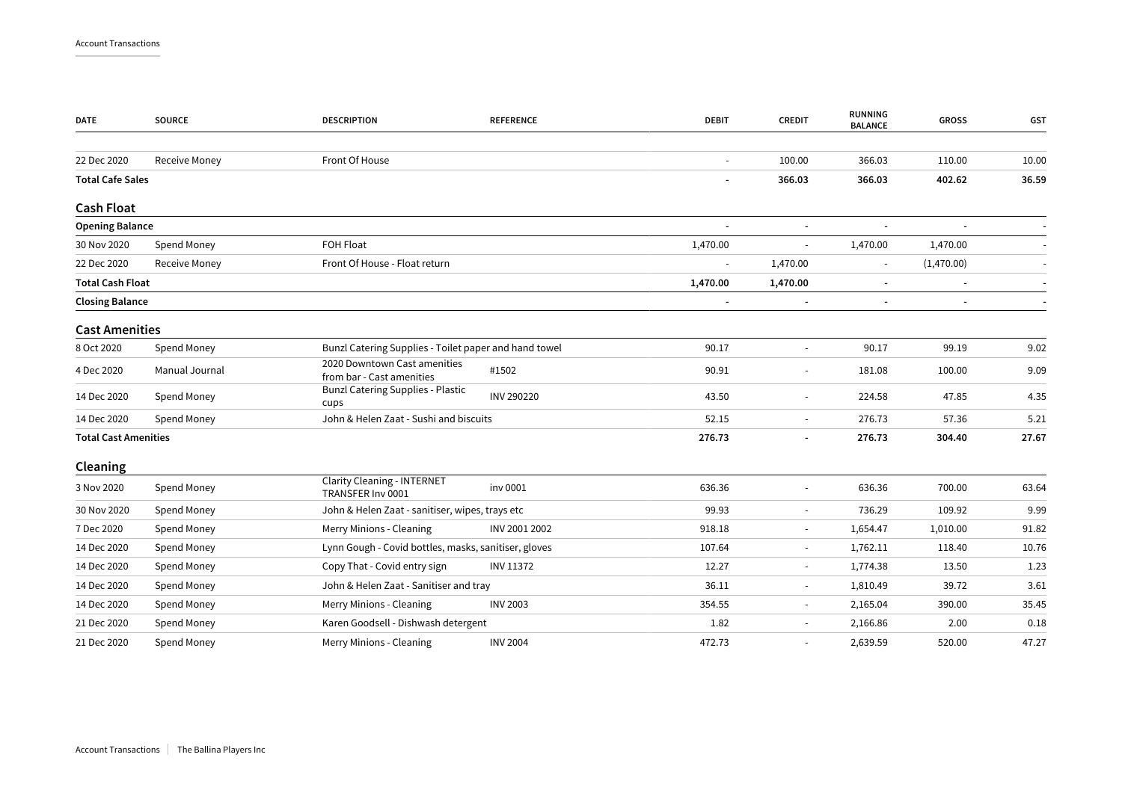| <b>DATE</b>                 | <b>SOURCE</b>        | <b>DESCRIPTION</b>                                        | <b>REFERENCE</b> | <b>DEBIT</b>   | <b>CREDIT</b>            | <b>RUNNING</b><br><b>BALANCE</b> | <b>GROSS</b>             | GST   |
|-----------------------------|----------------------|-----------------------------------------------------------|------------------|----------------|--------------------------|----------------------------------|--------------------------|-------|
| 22 Dec 2020                 | <b>Receive Money</b> | Front Of House                                            |                  |                | 100.00                   | 366.03                           | 110.00                   | 10.00 |
| <b>Total Cafe Sales</b>     |                      |                                                           |                  | $\blacksquare$ | 366.03                   | 366.03                           | 402.62                   | 36.59 |
| <b>Cash Float</b>           |                      |                                                           |                  |                |                          |                                  |                          |       |
| <b>Opening Balance</b>      |                      |                                                           |                  |                | $\blacksquare$           |                                  |                          |       |
| 30 Nov 2020                 | Spend Money          | FOH Float                                                 |                  | 1,470.00       | $\overline{\phantom{a}}$ | 1,470.00                         | 1,470.00                 |       |
| 22 Dec 2020                 | <b>Receive Money</b> | Front Of House - Float return                             |                  |                | 1,470.00                 | $\blacksquare$                   | (1,470.00)               |       |
| <b>Total Cash Float</b>     |                      |                                                           |                  | 1,470.00       | 1,470.00                 | $\blacksquare$                   |                          |       |
| <b>Closing Balance</b>      |                      |                                                           |                  |                | ٠                        | $\overline{\phantom{a}}$         | $\overline{\phantom{a}}$ |       |
| <b>Cast Amenities</b>       |                      |                                                           |                  |                |                          |                                  |                          |       |
| 8 Oct 2020                  | Spend Money          | Bunzl Catering Supplies - Toilet paper and hand towel     |                  | 90.17          | $\blacksquare$           | 90.17                            | 99.19                    | 9.02  |
| 4 Dec 2020                  | Manual Journal       | 2020 Downtown Cast amenities<br>from bar - Cast amenities | #1502            | 90.91          | $\blacksquare$           | 181.08                           | 100.00                   | 9.09  |
| 14 Dec 2020                 | Spend Money          | <b>Bunzl Catering Supplies - Plastic</b><br>cups          | INV 290220       | 43.50          | $\overline{\phantom{a}}$ | 224.58                           | 47.85                    | 4.35  |
| 14 Dec 2020                 | Spend Money          | John & Helen Zaat - Sushi and biscuits                    |                  | 52.15          | $\blacksquare$           | 276.73                           | 57.36                    | 5.21  |
| <b>Total Cast Amenities</b> |                      |                                                           |                  | 276.73         | $\overline{\phantom{a}}$ | 276.73                           | 304.40                   | 27.67 |
| Cleaning                    |                      |                                                           |                  |                |                          |                                  |                          |       |
| 3 Nov 2020                  | Spend Money          | <b>Clarity Cleaning - INTERNET</b><br>TRANSFER Inv 0001   | inv 0001         | 636.36         | $\overline{\phantom{a}}$ | 636.36                           | 700.00                   | 63.64 |
| 30 Nov 2020                 | Spend Money          | John & Helen Zaat - sanitiser, wipes, trays etc           |                  | 99.93          | $\overline{\phantom{a}}$ | 736.29                           | 109.92                   | 9.99  |
| 7 Dec 2020                  | Spend Money          | Merry Minions - Cleaning                                  | INV 2001 2002    | 918.18         | $\blacksquare$           | 1,654.47                         | 1,010.00                 | 91.82 |
| 14 Dec 2020                 | Spend Money          | Lynn Gough - Covid bottles, masks, sanitiser, gloves      |                  | 107.64         | $\overline{\phantom{a}}$ | 1,762.11                         | 118.40                   | 10.76 |
| 14 Dec 2020                 | Spend Money          | Copy That - Covid entry sign                              | <b>INV 11372</b> | 12.27          | $\blacksquare$           | 1,774.38                         | 13.50                    | 1.23  |
| 14 Dec 2020                 | Spend Money          | John & Helen Zaat - Sanitiser and tray                    |                  | 36.11          | $\overline{\phantom{a}}$ | 1,810.49                         | 39.72                    | 3.61  |
| 14 Dec 2020                 | Spend Money          | Merry Minions - Cleaning                                  | <b>INV 2003</b>  | 354.55         | $\blacksquare$           | 2,165.04                         | 390.00                   | 35.45 |
| 21 Dec 2020                 | Spend Money          | Karen Goodsell - Dishwash detergent                       |                  | 1.82           | $\overline{\phantom{a}}$ | 2,166.86                         | 2.00                     | 0.18  |
| 21 Dec 2020                 | Spend Money          | Merry Minions - Cleaning                                  | <b>INV 2004</b>  | 472.73         | $\blacksquare$           | 2,639.59                         | 520.00                   | 47.27 |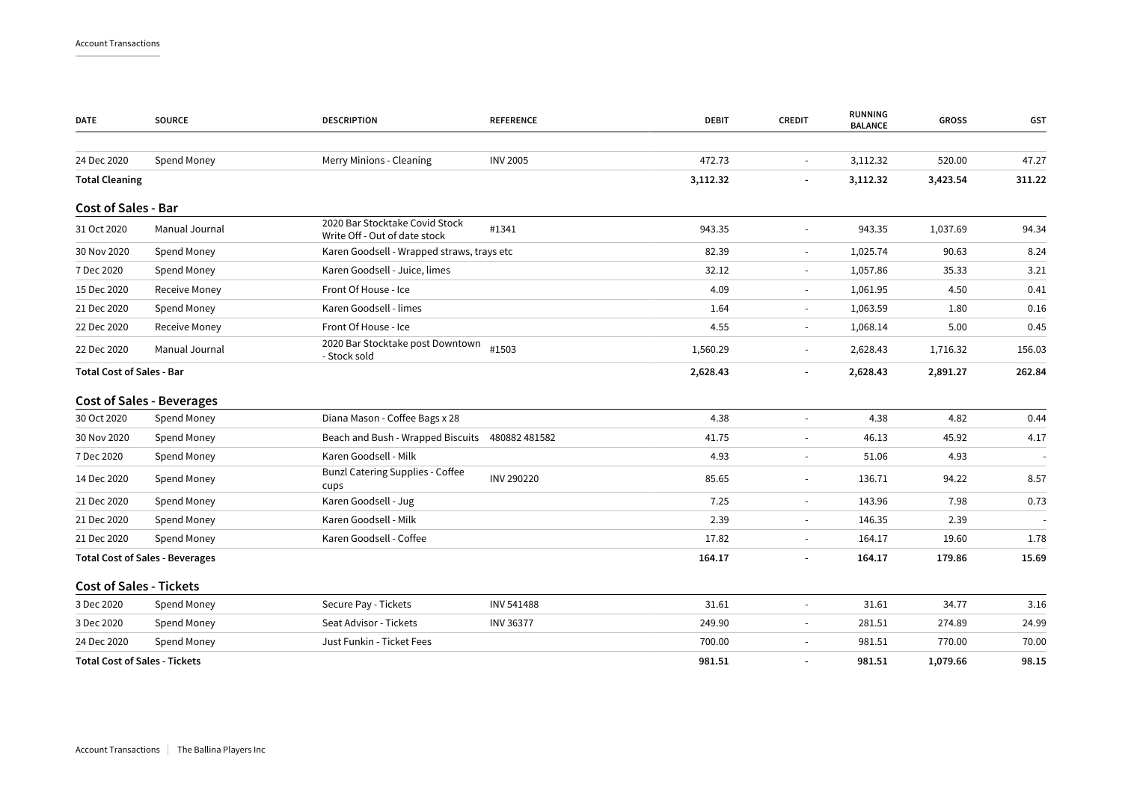| <b>DATE</b>                          | <b>SOURCE</b>                          | <b>DESCRIPTION</b>                                              | <b>REFERENCE</b> | <b>DEBIT</b> | <b>CREDIT</b>            | <b>RUNNING</b><br><b>BALANCE</b> | <b>GROSS</b> | GST    |
|--------------------------------------|----------------------------------------|-----------------------------------------------------------------|------------------|--------------|--------------------------|----------------------------------|--------------|--------|
|                                      |                                        |                                                                 |                  |              |                          |                                  |              |        |
| 24 Dec 2020                          | Spend Money                            | Merry Minions - Cleaning                                        | <b>INV 2005</b>  | 472.73       | $\sim$                   | 3,112.32                         | 520.00       | 47.27  |
| <b>Total Cleaning</b>                |                                        |                                                                 |                  | 3,112.32     |                          | 3,112.32                         | 3,423.54     | 311.22 |
| <b>Cost of Sales - Bar</b>           |                                        |                                                                 |                  |              |                          |                                  |              |        |
| 31 Oct 2020                          | Manual Journal                         | 2020 Bar Stocktake Covid Stock<br>Write Off - Out of date stock | #1341            | 943.35       | $\sim$                   | 943.35                           | 1,037.69     | 94.34  |
| 30 Nov 2020                          | Spend Money                            | Karen Goodsell - Wrapped straws, trays etc                      |                  | 82.39        | $\overline{\phantom{a}}$ | 1,025.74                         | 90.63        | 8.24   |
| 7 Dec 2020                           | Spend Money                            | Karen Goodsell - Juice, limes                                   |                  | 32.12        | $\overline{\phantom{a}}$ | 1,057.86                         | 35.33        | 3.21   |
| 15 Dec 2020                          | Receive Money                          | Front Of House - Ice                                            |                  | 4.09         | $\overline{\phantom{a}}$ | 1,061.95                         | 4.50         | 0.41   |
| 21 Dec 2020                          | Spend Money                            | Karen Goodsell - limes                                          |                  | 1.64         | $\sim$                   | 1,063.59                         | 1.80         | 0.16   |
| 22 Dec 2020                          | Receive Money                          | Front Of House - Ice                                            |                  | 4.55         | $\overline{\phantom{a}}$ | 1,068.14                         | 5.00         | 0.45   |
| 22 Dec 2020                          | Manual Journal                         | 2020 Bar Stocktake post Downtown<br>- Stock sold                | #1503            | 1,560.29     | $\overline{\phantom{a}}$ | 2,628.43                         | 1,716.32     | 156.03 |
| <b>Total Cost of Sales - Bar</b>     |                                        |                                                                 |                  | 2,628.43     |                          | 2,628.43                         | 2,891.27     | 262.84 |
|                                      | <b>Cost of Sales - Beverages</b>       |                                                                 |                  |              |                          |                                  |              |        |
| 30 Oct 2020                          | Spend Money                            | Diana Mason - Coffee Bags x 28                                  |                  | 4.38         | $\overline{\phantom{a}}$ | 4.38                             | 4.82         | 0.44   |
| 30 Nov 2020                          | Spend Money                            | Beach and Bush - Wrapped Biscuits 480882 481582                 |                  | 41.75        |                          | 46.13                            | 45.92        | 4.17   |
| 7 Dec 2020                           | Spend Money                            | Karen Goodsell - Milk                                           |                  | 4.93         | $\overline{\phantom{a}}$ | 51.06                            | 4.93         |        |
| 14 Dec 2020                          | Spend Money                            | <b>Bunzl Catering Supplies - Coffee</b><br>cups                 | INV 290220       | 85.65        | $\overline{\phantom{a}}$ | 136.71                           | 94.22        | 8.57   |
| 21 Dec 2020                          | Spend Money                            | Karen Goodsell - Jug                                            |                  | 7.25         | $\overline{\phantom{a}}$ | 143.96                           | 7.98         | 0.73   |
| 21 Dec 2020                          | Spend Money                            | Karen Goodsell - Milk                                           |                  | 2.39         | $\sim$                   | 146.35                           | 2.39         |        |
| 21 Dec 2020                          | Spend Money                            | Karen Goodsell - Coffee                                         |                  | 17.82        | $\sim$                   | 164.17                           | 19.60        | 1.78   |
|                                      | <b>Total Cost of Sales - Beverages</b> |                                                                 |                  | 164.17       |                          | 164.17                           | 179.86       | 15.69  |
| <b>Cost of Sales - Tickets</b>       |                                        |                                                                 |                  |              |                          |                                  |              |        |
| 3 Dec 2020                           | Spend Money                            | Secure Pay - Tickets                                            | INV 541488       | 31.61        |                          | 31.61                            | 34.77        | 3.16   |
| 3 Dec 2020                           | Spend Money                            | Seat Advisor - Tickets                                          | <b>INV 36377</b> | 249.90       | $\sim$                   | 281.51                           | 274.89       | 24.99  |
| 24 Dec 2020                          | Spend Money                            | Just Funkin - Ticket Fees                                       |                  | 700.00       |                          | 981.51                           | 770.00       | 70.00  |
| <b>Total Cost of Sales - Tickets</b> |                                        |                                                                 |                  | 981.51       | $\overline{\phantom{a}}$ | 981.51                           | 1,079.66     | 98.15  |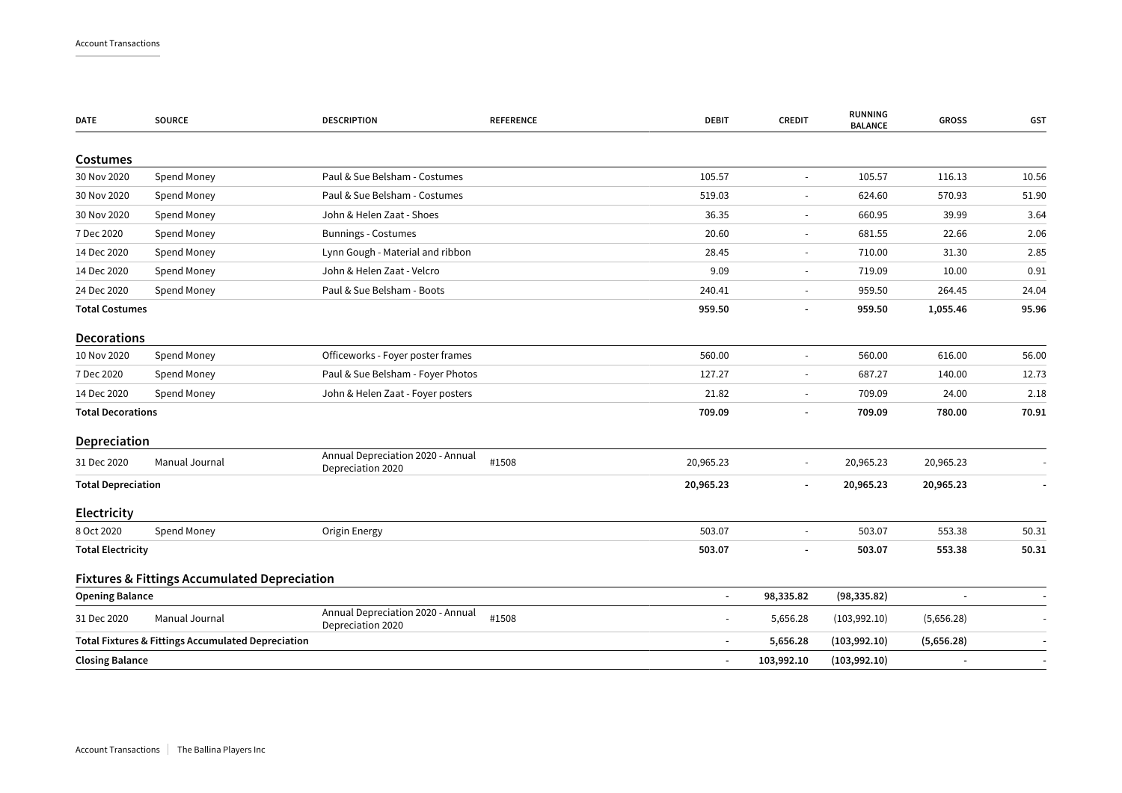| <b>DATE</b>               | <b>SOURCE</b>                                           | <b>DESCRIPTION</b>                                     | <b>REFERENCE</b> | <b>DEBIT</b>             | <b>CREDIT</b>            | <b>RUNNING</b><br><b>BALANCE</b> | <b>GROSS</b> | GST   |
|---------------------------|---------------------------------------------------------|--------------------------------------------------------|------------------|--------------------------|--------------------------|----------------------------------|--------------|-------|
| Costumes                  |                                                         |                                                        |                  |                          |                          |                                  |              |       |
| 30 Nov 2020               | Spend Money                                             | Paul & Sue Belsham - Costumes                          |                  | 105.57                   |                          | 105.57                           | 116.13       | 10.56 |
| 30 Nov 2020               | Spend Money                                             | Paul & Sue Belsham - Costumes                          |                  | 519.03                   |                          | 624.60                           | 570.93       | 51.90 |
| 30 Nov 2020               | Spend Money                                             | John & Helen Zaat - Shoes                              |                  | 36.35                    |                          | 660.95                           | 39.99        | 3.64  |
| 7 Dec 2020                | Spend Money                                             | <b>Bunnings - Costumes</b>                             |                  | 20.60                    | $\overline{\phantom{a}}$ | 681.55                           | 22.66        | 2.06  |
| 14 Dec 2020               | Spend Money                                             | Lynn Gough - Material and ribbon                       |                  | 28.45                    |                          | 710.00                           | 31.30        | 2.85  |
| 14 Dec 2020               | Spend Money                                             | John & Helen Zaat - Velcro                             |                  | 9.09                     | $\blacksquare$           | 719.09                           | 10.00        | 0.91  |
| 24 Dec 2020               | Spend Money                                             | Paul & Sue Belsham - Boots                             |                  | 240.41                   | $\overline{\phantom{a}}$ | 959.50                           | 264.45       | 24.04 |
| <b>Total Costumes</b>     |                                                         |                                                        |                  | 959.50                   | $\overline{\phantom{a}}$ | 959.50                           | 1,055.46     | 95.96 |
| <b>Decorations</b>        |                                                         |                                                        |                  |                          |                          |                                  |              |       |
| 10 Nov 2020               | Spend Money                                             | Officeworks - Foyer poster frames                      |                  | 560.00                   | $\blacksquare$           | 560.00                           | 616.00       | 56.00 |
| 7 Dec 2020                | Spend Money                                             | Paul & Sue Belsham - Foyer Photos                      |                  | 127.27                   |                          | 687.27                           | 140.00       | 12.73 |
| 14 Dec 2020               | Spend Money                                             | John & Helen Zaat - Foyer posters                      |                  | 21.82                    |                          | 709.09                           | 24.00        | 2.18  |
| <b>Total Decorations</b>  |                                                         |                                                        |                  | 709.09                   | $\overline{\phantom{a}}$ | 709.09                           | 780.00       | 70.91 |
| Depreciation              |                                                         |                                                        |                  |                          |                          |                                  |              |       |
| 31 Dec 2020               | Manual Journal                                          | Annual Depreciation 2020 - Annual<br>Depreciation 2020 | #1508            | 20,965.23                | $\sim$                   | 20,965.23                        | 20,965.23    |       |
| <b>Total Depreciation</b> |                                                         |                                                        |                  | 20,965.23                |                          | 20,965.23                        | 20,965.23    |       |
| Electricity               |                                                         |                                                        |                  |                          |                          |                                  |              |       |
| 8 Oct 2020                | Spend Money                                             | Origin Energy                                          |                  | 503.07                   |                          | 503.07                           | 553.38       | 50.31 |
| <b>Total Electricity</b>  |                                                         |                                                        |                  | 503.07                   |                          | 503.07                           | 553.38       | 50.31 |
|                           | <b>Fixtures &amp; Fittings Accumulated Depreciation</b> |                                                        |                  |                          |                          |                                  |              |       |
| <b>Opening Balance</b>    |                                                         |                                                        |                  | $\blacksquare$           | 98,335.82                | (98, 335.82)                     |              |       |
| 31 Dec 2020               | Manual Journal                                          | Annual Depreciation 2020 - Annual<br>Depreciation 2020 | #1508            | $\sim$                   | 5,656.28                 | (103,992.10)                     | (5,656.28)   |       |
|                           | Total Fixtures & Fittings Accumulated Depreciation      |                                                        |                  | $\overline{\phantom{a}}$ | 5,656.28                 | (103, 992.10)                    | (5,656.28)   |       |
| <b>Closing Balance</b>    |                                                         |                                                        |                  | $\overline{\phantom{a}}$ | 103,992.10               | (103,992.10)                     |              |       |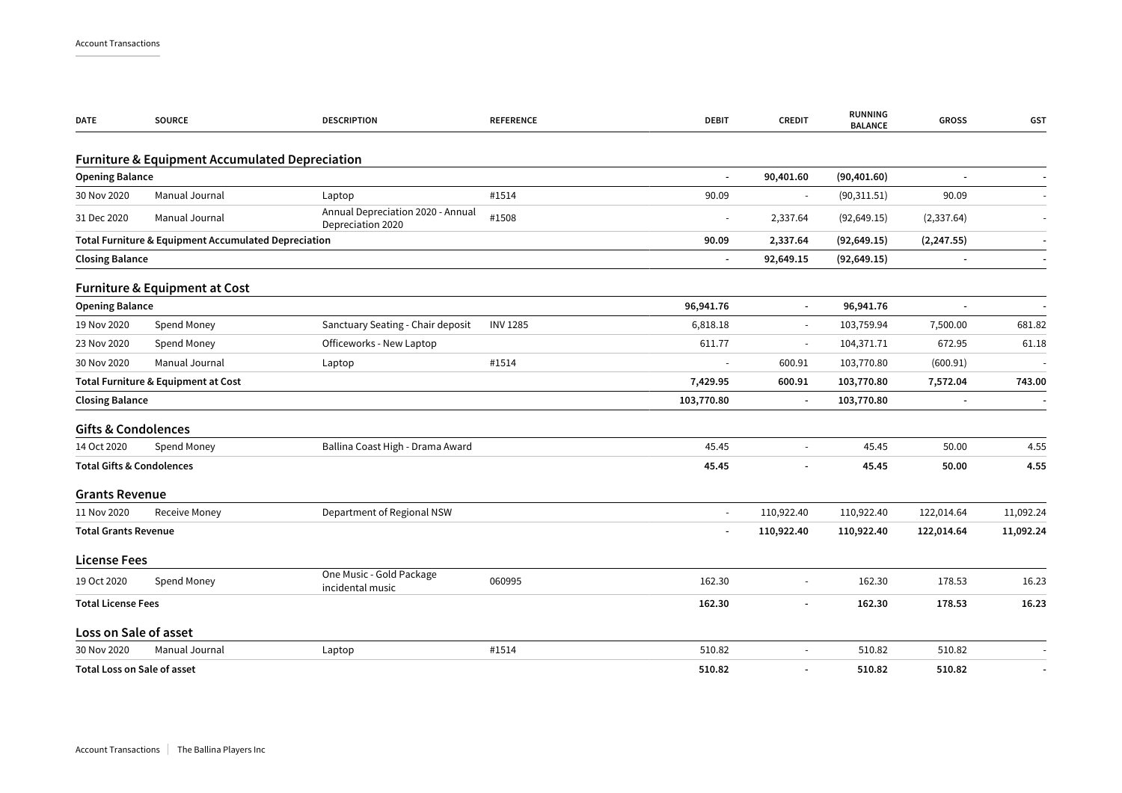| <b>DATE</b>                          | <b>SOURCE</b>                                             | <b>DESCRIPTION</b>                                     | <b>REFERENCE</b> | <b>DEBIT</b>   | <b>CREDIT</b>            | <b>RUNNING</b><br><b>BALANCE</b> | <b>GROSS</b>             | GST       |
|--------------------------------------|-----------------------------------------------------------|--------------------------------------------------------|------------------|----------------|--------------------------|----------------------------------|--------------------------|-----------|
|                                      | <b>Furniture &amp; Equipment Accumulated Depreciation</b> |                                                        |                  |                |                          |                                  |                          |           |
| <b>Opening Balance</b>               |                                                           |                                                        |                  |                | 90,401.60                | (90, 401.60)                     |                          |           |
| 30 Nov 2020                          | Manual Journal                                            | Laptop                                                 | #1514            | 90.09          | $\sim$                   | (90, 311.51)                     | 90.09                    |           |
| 31 Dec 2020                          | Manual Journal                                            | Annual Depreciation 2020 - Annual<br>Depreciation 2020 | #1508            |                | 2,337.64                 | (92, 649.15)                     | (2, 337.64)              |           |
|                                      | Total Furniture & Equipment Accumulated Depreciation      |                                                        |                  | 90.09          | 2,337.64                 | (92, 649.15)                     | (2, 247.55)              |           |
| <b>Closing Balance</b>               |                                                           |                                                        |                  | $\blacksquare$ | 92,649.15                | (92, 649.15)                     |                          |           |
|                                      | <b>Furniture &amp; Equipment at Cost</b>                  |                                                        |                  |                |                          |                                  |                          |           |
| <b>Opening Balance</b>               |                                                           |                                                        |                  | 96,941.76      | $\blacksquare$           | 96,941.76                        |                          |           |
| 19 Nov 2020                          | Spend Money                                               | Sanctuary Seating - Chair deposit                      | <b>INV 1285</b>  | 6,818.18       | $\sim$                   | 103,759.94                       | 7,500.00                 | 681.82    |
| 23 Nov 2020                          | Spend Money                                               | Officeworks - New Laptop                               |                  | 611.77         | $\overline{\phantom{a}}$ | 104,371.71                       | 672.95                   | 61.18     |
| 30 Nov 2020                          | Manual Journal                                            | Laptop                                                 | #1514            |                | 600.91                   | 103,770.80                       | (600.91)                 |           |
|                                      | Total Furniture & Equipment at Cost                       |                                                        |                  | 7,429.95       | 600.91                   | 103,770.80                       | 7,572.04                 | 743.00    |
| <b>Closing Balance</b>               |                                                           |                                                        |                  | 103,770.80     | $\blacksquare$           | 103,770.80                       | $\overline{\phantom{a}}$ |           |
| <b>Gifts &amp; Condolences</b>       |                                                           |                                                        |                  |                |                          |                                  |                          |           |
| 14 Oct 2020                          | Spend Money                                               | Ballina Coast High - Drama Award                       |                  | 45.45          | $\blacksquare$           | 45.45                            | 50.00                    | 4.55      |
| <b>Total Gifts &amp; Condolences</b> |                                                           |                                                        |                  | 45.45          |                          | 45.45                            | 50.00                    | 4.55      |
| <b>Grants Revenue</b>                |                                                           |                                                        |                  |                |                          |                                  |                          |           |
| 11 Nov 2020                          | Receive Money                                             | Department of Regional NSW                             |                  | $\sim$         | 110,922.40               | 110,922.40                       | 122,014.64               | 11,092.24 |
| <b>Total Grants Revenue</b>          |                                                           |                                                        |                  |                | 110,922.40               | 110,922.40                       | 122,014.64               | 11,092.24 |
| <b>License Fees</b>                  |                                                           |                                                        |                  |                |                          |                                  |                          |           |
| 19 Oct 2020                          | Spend Money                                               | One Music - Gold Package<br>incidental music           | 060995           | 162.30         | $\overline{\phantom{a}}$ | 162.30                           | 178.53                   | 16.23     |
| <b>Total License Fees</b>            |                                                           |                                                        |                  | 162.30         | $\overline{\phantom{a}}$ | 162.30                           | 178.53                   | 16.23     |
| Loss on Sale of asset                |                                                           |                                                        |                  |                |                          |                                  |                          |           |
| 30 Nov 2020                          | Manual Journal                                            | Laptop                                                 | #1514            | 510.82         | $\sim$                   | 510.82                           | 510.82                   |           |
| <b>Total Loss on Sale of asset</b>   |                                                           |                                                        |                  | 510.82         | $\blacksquare$           | 510.82                           | 510.82                   |           |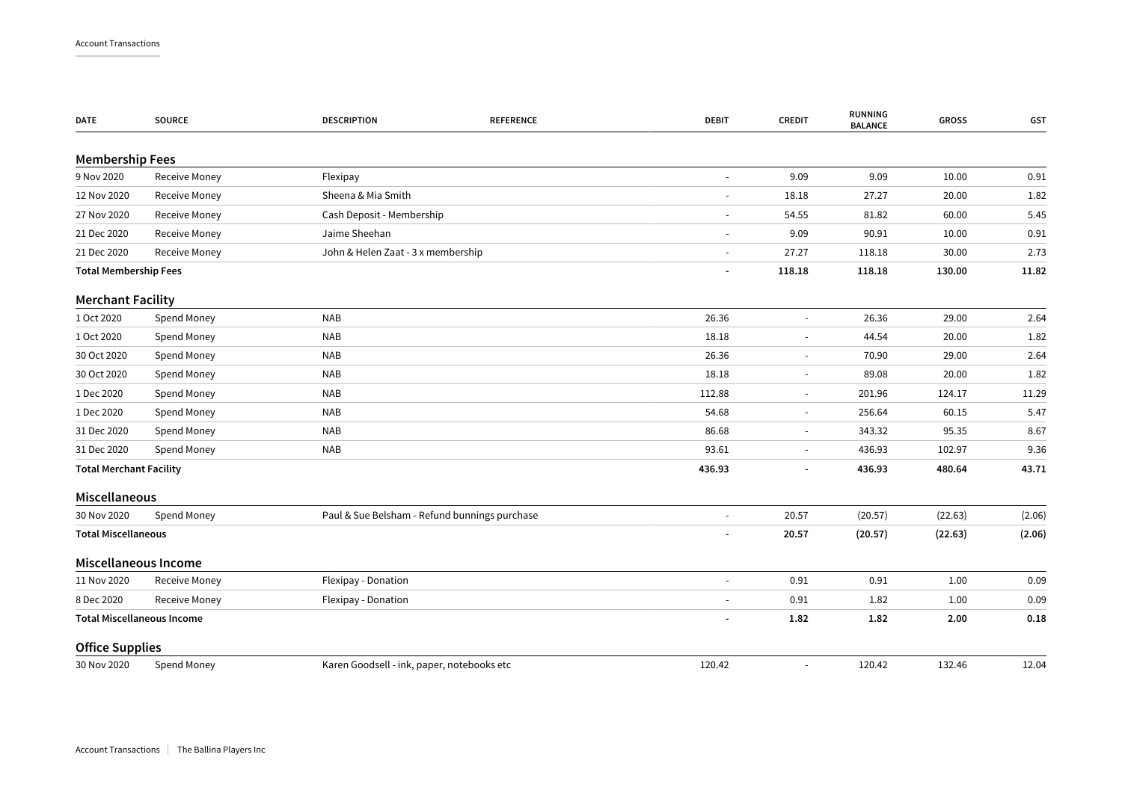| <b>DATE</b>                    | <b>SOURCE</b>                     | <b>DESCRIPTION</b><br><b>REFERENCE</b>        | <b>DEBIT</b>             | <b>CREDIT</b>            | <b>RUNNING</b><br><b>BALANCE</b> | <b>GROSS</b> | GST    |
|--------------------------------|-----------------------------------|-----------------------------------------------|--------------------------|--------------------------|----------------------------------|--------------|--------|
| <b>Membership Fees</b>         |                                   |                                               |                          |                          |                                  |              |        |
| 9 Nov 2020                     | Receive Money                     | Flexipay                                      | $\sim$                   | 9.09                     | 9.09                             | 10.00        | 0.91   |
| 12 Nov 2020                    | Receive Money                     | Sheena & Mia Smith                            | $\sim$                   | 18.18                    | 27.27                            | 20.00        | 1.82   |
| 27 Nov 2020                    | <b>Receive Money</b>              | Cash Deposit - Membership                     |                          | 54.55                    | 81.82                            | 60.00        | 5.45   |
| 21 Dec 2020                    | Receive Money                     | Jaime Sheehan                                 | $\overline{\phantom{a}}$ | 9.09                     | 90.91                            | 10.00        | 0.91   |
| 21 Dec 2020                    | <b>Receive Money</b>              | John & Helen Zaat - 3 x membership            | $\blacksquare$           | 27.27                    | 118.18                           | 30.00        | 2.73   |
| <b>Total Membership Fees</b>   |                                   |                                               | $\overline{\phantom{a}}$ | 118.18                   | 118.18                           | 130.00       | 11.82  |
| <b>Merchant Facility</b>       |                                   |                                               |                          |                          |                                  |              |        |
| 1 Oct 2020                     | Spend Money                       | <b>NAB</b>                                    | 26.36                    | $\blacksquare$           | 26.36                            | 29.00        | 2.64   |
| 1 Oct 2020                     | Spend Money                       | <b>NAB</b>                                    | 18.18                    | $\blacksquare$           | 44.54                            | 20.00        | 1.82   |
| 30 Oct 2020                    | Spend Money                       | <b>NAB</b>                                    | 26.36                    | $\overline{\phantom{a}}$ | 70.90                            | 29.00        | 2.64   |
| 30 Oct 2020                    | Spend Money                       | <b>NAB</b>                                    | 18.18                    | $\blacksquare$           | 89.08                            | 20.00        | 1.82   |
| 1 Dec 2020                     | Spend Money                       | <b>NAB</b>                                    | 112.88                   | $\overline{\phantom{a}}$ | 201.96                           | 124.17       | 11.29  |
| 1 Dec 2020                     | Spend Money                       | <b>NAB</b>                                    | 54.68                    | $\overline{\phantom{a}}$ | 256.64                           | 60.15        | 5.47   |
| 31 Dec 2020                    | Spend Money                       | <b>NAB</b>                                    | 86.68                    | $\overline{\phantom{a}}$ | 343.32                           | 95.35        | 8.67   |
| 31 Dec 2020                    | Spend Money                       | <b>NAB</b>                                    | 93.61                    | $\overline{\phantom{a}}$ | 436.93                           | 102.97       | 9.36   |
| <b>Total Merchant Facility</b> |                                   |                                               | 436.93                   | $\blacksquare$           | 436.93                           | 480.64       | 43.71  |
| Miscellaneous                  |                                   |                                               |                          |                          |                                  |              |        |
| 30 Nov 2020                    | Spend Money                       | Paul & Sue Belsham - Refund bunnings purchase |                          | 20.57                    | (20.57)                          | (22.63)      | (2.06) |
| <b>Total Miscellaneous</b>     |                                   |                                               |                          | 20.57                    | (20.57)                          | (22.63)      | (2.06) |
|                                | Miscellaneous Income              |                                               |                          |                          |                                  |              |        |
| 11 Nov 2020                    | Receive Money                     | Flexipay - Donation                           | $\sim$                   | 0.91                     | 0.91                             | 1.00         | 0.09   |
| 8 Dec 2020                     | <b>Receive Money</b>              | Flexipay - Donation                           | $\blacksquare$           | 0.91                     | 1.82                             | 1.00         | 0.09   |
|                                | <b>Total Miscellaneous Income</b> |                                               |                          | 1.82                     | 1.82                             | 2.00         | 0.18   |
| <b>Office Supplies</b>         |                                   |                                               |                          |                          |                                  |              |        |
| 30 Nov 2020                    | Spend Money                       | Karen Goodsell - ink, paper, notebooks etc    | 120.42                   | $\overline{\phantom{a}}$ | 120.42                           | 132.46       | 12.04  |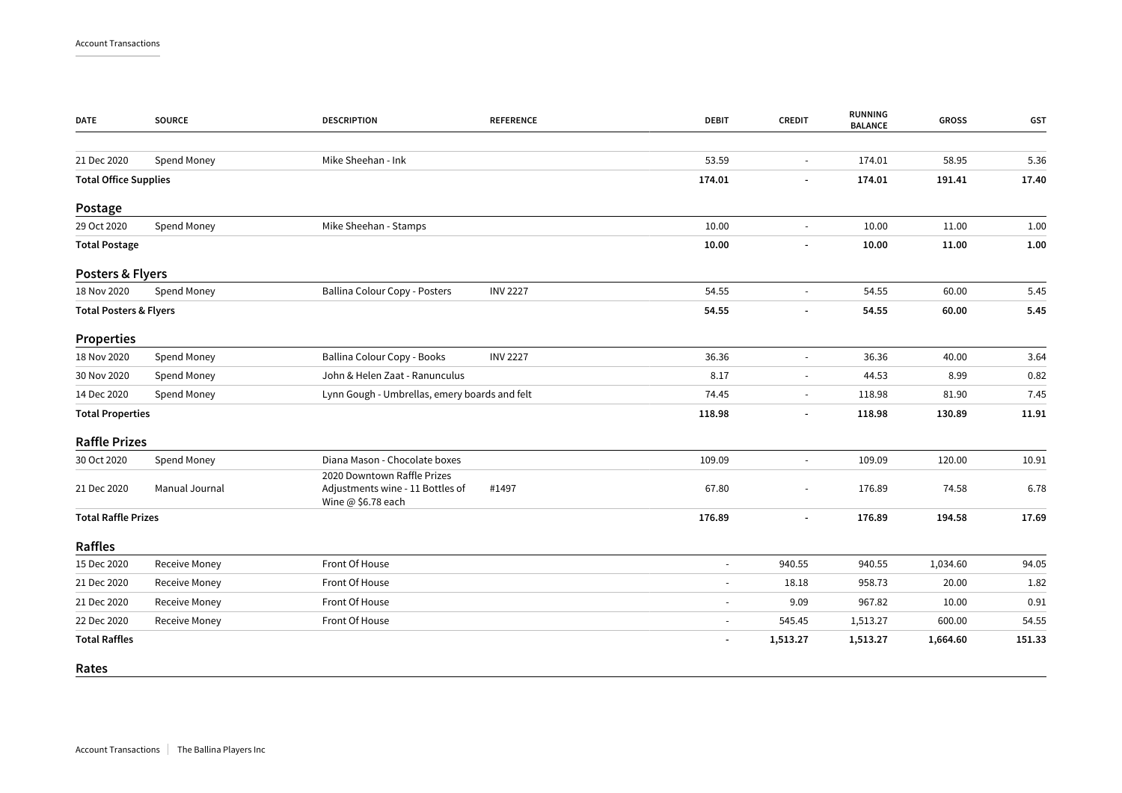| <b>DATE</b>                       | <b>SOURCE</b>        | <b>DESCRIPTION</b>                                                                    | <b>REFERENCE</b> | <b>DEBIT</b>   | <b>CREDIT</b>            | <b>RUNNING</b><br><b>BALANCE</b> | <b>GROSS</b> | GST    |
|-----------------------------------|----------------------|---------------------------------------------------------------------------------------|------------------|----------------|--------------------------|----------------------------------|--------------|--------|
| 21 Dec 2020                       | Spend Money          | Mike Sheehan - Ink                                                                    |                  | 53.59          | $\sim$                   | 174.01                           | 58.95        | 5.36   |
| <b>Total Office Supplies</b>      |                      |                                                                                       |                  | 174.01         |                          | 174.01                           | 191.41       | 17.40  |
| Postage                           |                      |                                                                                       |                  |                |                          |                                  |              |        |
| 29 Oct 2020                       | Spend Money          | Mike Sheehan - Stamps                                                                 |                  | 10.00          | $\blacksquare$           | 10.00                            | 11.00        | 1.00   |
| <b>Total Postage</b>              |                      |                                                                                       |                  | 10.00          |                          | 10.00                            | 11.00        | 1.00   |
| Posters & Flyers                  |                      |                                                                                       |                  |                |                          |                                  |              |        |
| 18 Nov 2020                       | Spend Money          | Ballina Colour Copy - Posters                                                         | <b>INV 2227</b>  | 54.55          |                          | 54.55                            | 60.00        | 5.45   |
| <b>Total Posters &amp; Flyers</b> |                      |                                                                                       |                  | 54.55          | $\overline{\phantom{a}}$ | 54.55                            | 60.00        | 5.45   |
| <b>Properties</b>                 |                      |                                                                                       |                  |                |                          |                                  |              |        |
| 18 Nov 2020                       | Spend Money          | Ballina Colour Copy - Books                                                           | <b>INV 2227</b>  | 36.36          | $\sim$                   | 36.36                            | 40.00        | 3.64   |
| 30 Nov 2020                       | Spend Money          | John & Helen Zaat - Ranunculus                                                        |                  | 8.17           |                          | 44.53                            | 8.99         | 0.82   |
| 14 Dec 2020                       | Spend Money          | Lynn Gough - Umbrellas, emery boards and felt                                         |                  | 74.45          | $\blacksquare$           | 118.98                           | 81.90        | 7.45   |
| <b>Total Properties</b>           |                      |                                                                                       |                  | 118.98         |                          | 118.98                           | 130.89       | 11.91  |
| <b>Raffle Prizes</b>              |                      |                                                                                       |                  |                |                          |                                  |              |        |
| 30 Oct 2020                       | Spend Money          | Diana Mason - Chocolate boxes                                                         |                  | 109.09         | $\blacksquare$           | 109.09                           | 120.00       | 10.91  |
| 21 Dec 2020                       | Manual Journal       | 2020 Downtown Raffle Prizes<br>Adjustments wine - 11 Bottles of<br>Wine @ \$6.78 each | #1497            | 67.80          |                          | 176.89                           | 74.58        | 6.78   |
| <b>Total Raffle Prizes</b>        |                      |                                                                                       |                  | 176.89         | $\blacksquare$           | 176.89                           | 194.58       | 17.69  |
| Raffles                           |                      |                                                                                       |                  |                |                          |                                  |              |        |
| 15 Dec 2020                       | <b>Receive Money</b> | Front Of House                                                                        |                  |                | 940.55                   | 940.55                           | 1,034.60     | 94.05  |
| 21 Dec 2020                       | Receive Money        | Front Of House                                                                        |                  | $\sim$         | 18.18                    | 958.73                           | 20.00        | 1.82   |
| 21 Dec 2020                       | <b>Receive Money</b> | Front Of House                                                                        |                  |                | 9.09                     | 967.82                           | 10.00        | 0.91   |
| 22 Dec 2020                       | Receive Money        | Front Of House                                                                        |                  | $\blacksquare$ | 545.45                   | 1,513.27                         | 600.00       | 54.55  |
| <b>Total Raffles</b>              |                      |                                                                                       |                  |                | 1,513.27                 | 1,513.27                         | 1,664.60     | 151.33 |
| Rates                             |                      |                                                                                       |                  |                |                          |                                  |              |        |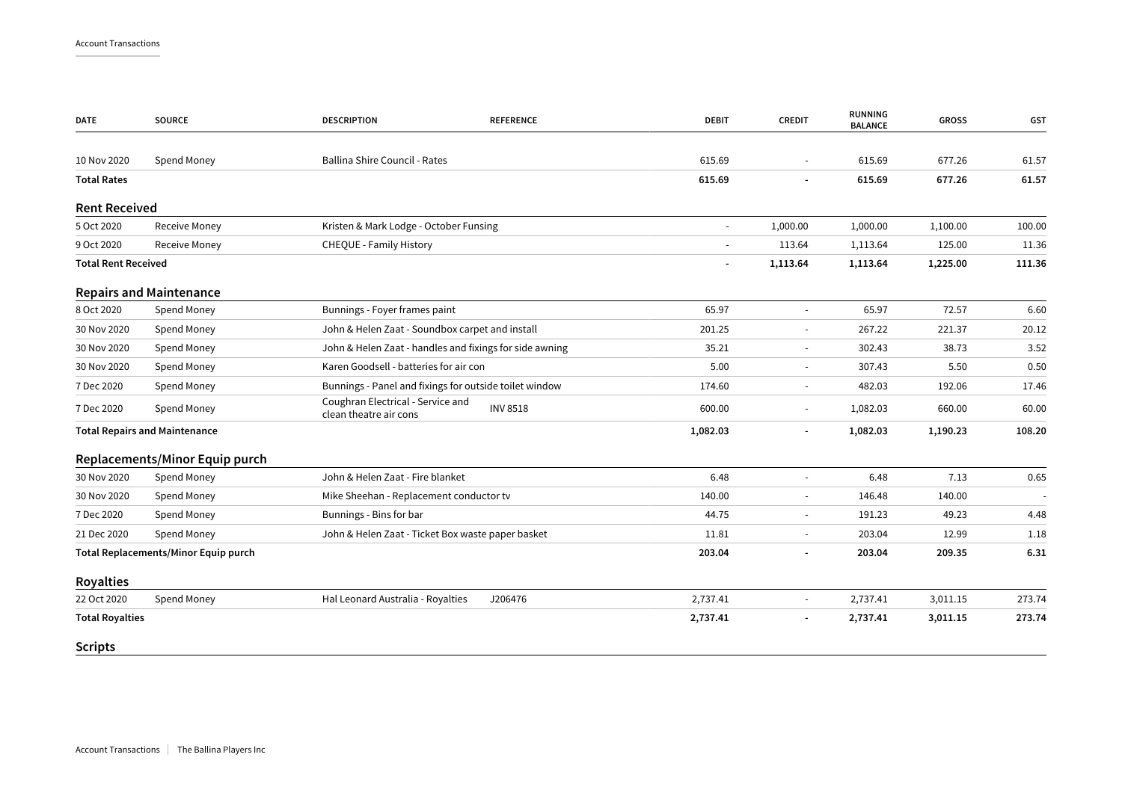| <b>DATE</b>                | <b>SOURCE</b>                        | <b>DESCRIPTION</b><br><b>REFERENCE</b>                                         | <b>DEBIT</b> | <b>CREDIT</b>            | <b>RUNNING</b><br><b>BALANCE</b> | <b>GROSS</b> | GST    |
|----------------------------|--------------------------------------|--------------------------------------------------------------------------------|--------------|--------------------------|----------------------------------|--------------|--------|
|                            |                                      |                                                                                |              |                          |                                  |              |        |
| 10 Nov 2020                | Spend Money                          | Ballina Shire Council - Rates                                                  | 615.69       |                          | 615.69                           | 677.26       | 61.57  |
| <b>Total Rates</b>         |                                      |                                                                                | 615.69       |                          | 615.69                           | 677.26       | 61.57  |
| <b>Rent Received</b>       |                                      |                                                                                |              |                          |                                  |              |        |
| 5 Oct 2020                 | <b>Receive Money</b>                 | Kristen & Mark Lodge - October Funsing                                         | $\sim$       | 1,000.00                 | 1,000.00                         | 1,100.00     | 100.00 |
| 9 Oct 2020                 | Receive Money                        | CHEQUE - Family History                                                        |              | 113.64                   | 1,113.64                         | 125.00       | 11.36  |
| <b>Total Rent Received</b> |                                      |                                                                                |              | 1,113.64                 | 1,113.64                         | 1,225.00     | 111.36 |
|                            | <b>Repairs and Maintenance</b>       |                                                                                |              |                          |                                  |              |        |
| 8 Oct 2020                 | Spend Money                          | Bunnings - Foyer frames paint                                                  | 65.97        | $\sim$                   | 65.97                            | 72.57        | 6.60   |
| 30 Nov 2020                | Spend Money                          | John & Helen Zaat - Soundbox carpet and install                                | 201.25       |                          | 267.22                           | 221.37       | 20.12  |
| 30 Nov 2020                | Spend Money                          | John & Helen Zaat - handles and fixings for side awning                        | 35.21        | $\sim$                   | 302.43                           | 38.73        | 3.52   |
| 30 Nov 2020                | Spend Money                          | Karen Goodsell - batteries for air con                                         | 5.00         | $\sim$                   | 307.43                           | 5.50         | 0.50   |
| 7 Dec 2020                 | Spend Money                          | Bunnings - Panel and fixings for outside toilet window                         | 174.60       | $\overline{\phantom{a}}$ | 482.03                           | 192.06       | 17.46  |
| 7 Dec 2020                 | Spend Money                          | Coughran Electrical - Service and<br><b>INV 8518</b><br>clean theatre air cons | 600.00       | $\sim$                   | 1,082.03                         | 660.00       | 60.00  |
|                            | <b>Total Repairs and Maintenance</b> |                                                                                | 1,082.03     |                          | 1,082.03                         | 1,190.23     | 108.20 |
|                            | Replacements/Minor Equip purch       |                                                                                |              |                          |                                  |              |        |
| 30 Nov 2020                | Spend Money                          | John & Helen Zaat - Fire blanket                                               | 6.48         | $\sim$                   | 6.48                             | 7.13         | 0.65   |
| 30 Nov 2020                | Spend Money                          | Mike Sheehan - Replacement conductor tv                                        | 140.00       |                          | 146.48                           | 140.00       |        |
| 7 Dec 2020                 | Spend Money                          | Bunnings - Bins for bar                                                        | 44.75        | $\sim$                   | 191.23                           | 49.23        | 4.48   |
| 21 Dec 2020                | Spend Money                          | John & Helen Zaat - Ticket Box waste paper basket                              | 11.81        | $\sim$                   | 203.04                           | 12.99        | 1.18   |
|                            | Total Replacements/Minor Equip purch |                                                                                | 203.04       |                          | 203.04                           | 209.35       | 6.31   |
| <b>Royalties</b>           |                                      |                                                                                |              |                          |                                  |              |        |
| 22 Oct 2020                | Spend Money                          | Hal Leonard Australia - Royalties<br>J206476                                   | 2,737.41     | $\sim$                   | 2,737.41                         | 3,011.15     | 273.74 |
| <b>Total Royalties</b>     |                                      |                                                                                | 2,737.41     |                          | 2,737.41                         | 3,011.15     | 273.74 |
| <b>Scripts</b>             |                                      |                                                                                |              |                          |                                  |              |        |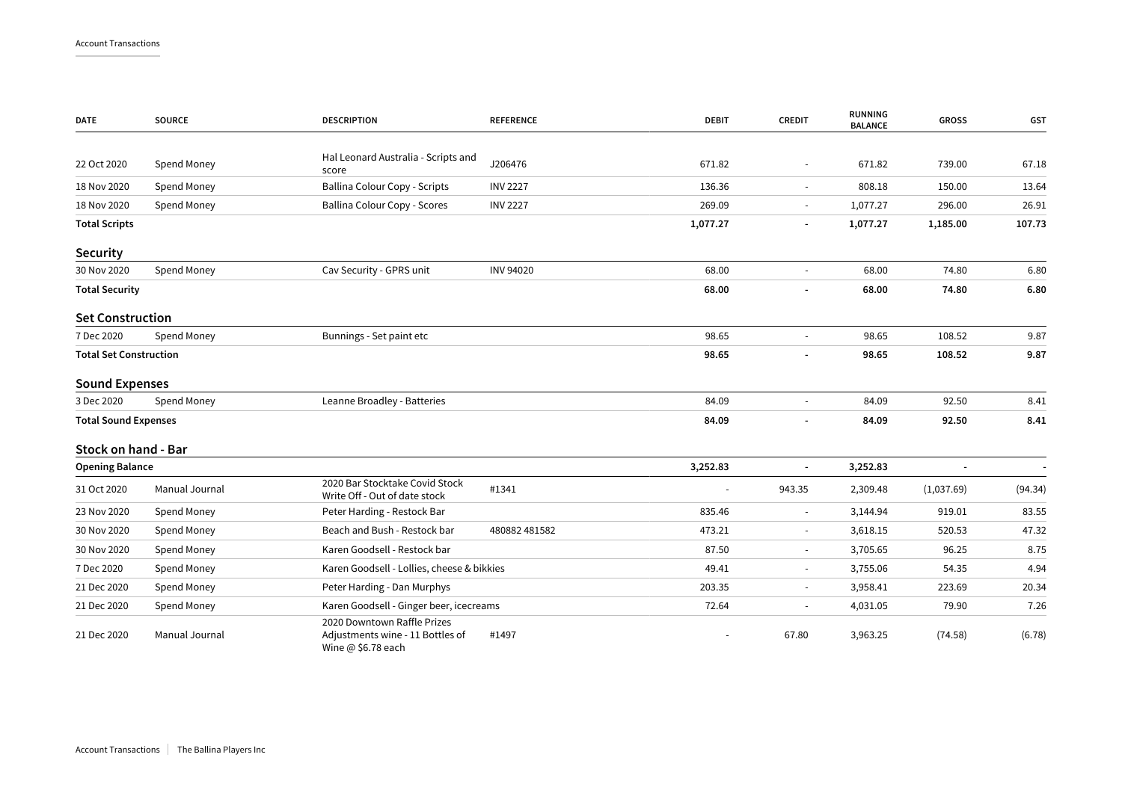| <b>DATE</b>                   | <b>SOURCE</b>  | <b>DESCRIPTION</b>                                                                    | <b>REFERENCE</b> | <b>DEBIT</b> | <b>CREDIT</b>            | <b>RUNNING</b><br><b>BALANCE</b> | <b>GROSS</b> | <b>GST</b> |
|-------------------------------|----------------|---------------------------------------------------------------------------------------|------------------|--------------|--------------------------|----------------------------------|--------------|------------|
|                               |                |                                                                                       |                  |              |                          |                                  |              |            |
| 22 Oct 2020                   | Spend Money    | Hal Leonard Australia - Scripts and<br>score                                          | J206476          | 671.82       |                          | 671.82                           | 739.00       | 67.18      |
| 18 Nov 2020                   | Spend Money    | Ballina Colour Copy - Scripts                                                         | <b>INV 2227</b>  | 136.36       | $\sim$                   | 808.18                           | 150.00       | 13.64      |
| 18 Nov 2020                   | Spend Money    | Ballina Colour Copy - Scores                                                          | <b>INV 2227</b>  | 269.09       |                          | 1,077.27                         | 296.00       | 26.91      |
| <b>Total Scripts</b>          |                |                                                                                       |                  | 1,077.27     |                          | 1,077.27                         | 1,185.00     | 107.73     |
| <b>Security</b>               |                |                                                                                       |                  |              |                          |                                  |              |            |
| 30 Nov 2020                   | Spend Money    | Cav Security - GPRS unit                                                              | <b>INV 94020</b> | 68.00        |                          | 68.00                            | 74.80        | 6.80       |
| <b>Total Security</b>         |                |                                                                                       |                  | 68.00        |                          | 68.00                            | 74.80        | 6.80       |
| <b>Set Construction</b>       |                |                                                                                       |                  |              |                          |                                  |              |            |
| 7 Dec 2020                    | Spend Money    | Bunnings - Set paint etc                                                              |                  | 98.65        |                          | 98.65                            | 108.52       | 9.87       |
| <b>Total Set Construction</b> |                |                                                                                       |                  | 98.65        |                          | 98.65                            | 108.52       | 9.87       |
| <b>Sound Expenses</b>         |                |                                                                                       |                  |              |                          |                                  |              |            |
| 3 Dec 2020                    | Spend Money    | Leanne Broadley - Batteries                                                           |                  | 84.09        |                          | 84.09                            | 92.50        | 8.41       |
| <b>Total Sound Expenses</b>   |                |                                                                                       |                  | 84.09        |                          | 84.09                            | 92.50        | 8.41       |
| Stock on hand - Bar           |                |                                                                                       |                  |              |                          |                                  |              |            |
| <b>Opening Balance</b>        |                |                                                                                       |                  | 3,252.83     |                          | 3,252.83                         |              |            |
| 31 Oct 2020                   | Manual Journal | 2020 Bar Stocktake Covid Stock<br>Write Off - Out of date stock                       | #1341            |              | 943.35                   | 2,309.48                         | (1,037.69)   | (94.34)    |
| 23 Nov 2020                   | Spend Money    | Peter Harding - Restock Bar                                                           |                  | 835.46       | $\overline{\phantom{a}}$ | 3,144.94                         | 919.01       | 83.55      |
| 30 Nov 2020                   | Spend Money    | Beach and Bush - Restock bar                                                          | 480882 481582    | 473.21       | $\overline{\phantom{a}}$ | 3,618.15                         | 520.53       | 47.32      |
| 30 Nov 2020                   | Spend Money    | Karen Goodsell - Restock bar                                                          |                  | 87.50        | $\sim$                   | 3,705.65                         | 96.25        | 8.75       |
| 7 Dec 2020                    | Spend Money    | Karen Goodsell - Lollies, cheese & bikkies                                            |                  | 49.41        | $\sim$                   | 3,755.06                         | 54.35        | 4.94       |
| 21 Dec 2020                   | Spend Money    | Peter Harding - Dan Murphys                                                           |                  | 203.35       | $\sim$                   | 3,958.41                         | 223.69       | 20.34      |
| 21 Dec 2020                   | Spend Money    | Karen Goodsell - Ginger beer, icecreams                                               |                  | 72.64        |                          | 4,031.05                         | 79.90        | 7.26       |
| 21 Dec 2020                   | Manual Journal | 2020 Downtown Raffle Prizes<br>Adjustments wine - 11 Bottles of<br>Wine @ \$6.78 each | #1497            |              | 67.80                    | 3,963.25                         | (74.58)      | (6.78)     |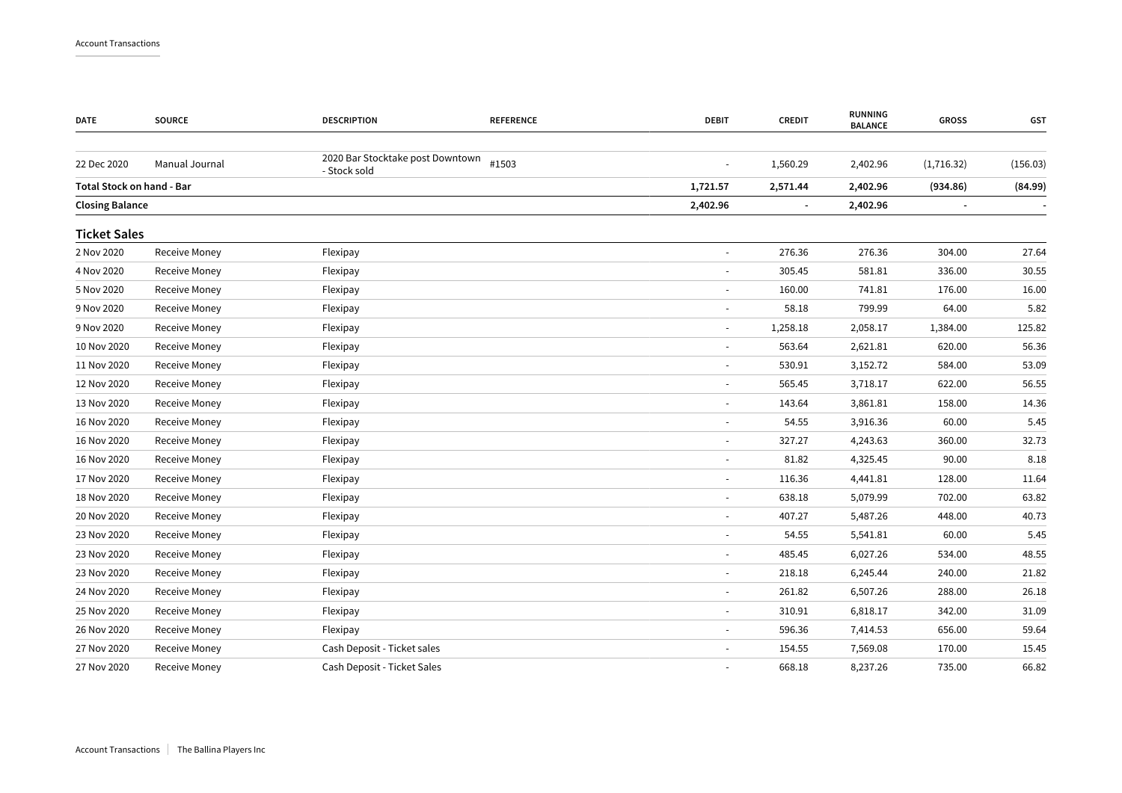| <b>DATE</b>                      | <b>SOURCE</b>        | <b>DESCRIPTION</b>                               | <b>REFERENCE</b> | <b>DEBIT</b>             | <b>CREDIT</b>  | <b>RUNNING</b><br><b>BALANCE</b> | <b>GROSS</b>                 | GST      |
|----------------------------------|----------------------|--------------------------------------------------|------------------|--------------------------|----------------|----------------------------------|------------------------------|----------|
| 22 Dec 2020                      | Manual Journal       | 2020 Bar Stocktake post Downtown<br>- Stock sold | #1503            | $\sim$                   | 1,560.29       | 2,402.96                         | (1,716.32)                   | (156.03) |
| <b>Total Stock on hand - Bar</b> |                      |                                                  |                  | 1,721.57                 | 2,571.44       | 2,402.96                         | (934.86)                     | (84.99)  |
| <b>Closing Balance</b>           |                      |                                                  |                  | 2,402.96                 | $\blacksquare$ | 2,402.96                         | $\qquad \qquad \blacksquare$ |          |
| <b>Ticket Sales</b>              |                      |                                                  |                  |                          |                |                                  |                              |          |
| 2 Nov 2020                       | <b>Receive Money</b> | Flexipay                                         |                  |                          | 276.36         | 276.36                           | 304.00                       | 27.64    |
| 4 Nov 2020                       | Receive Money        | Flexipay                                         |                  | $\sim$                   | 305.45         | 581.81                           | 336.00                       | 30.55    |
| 5 Nov 2020                       | Receive Money        | Flexipay                                         |                  |                          | 160.00         | 741.81                           | 176.00                       | 16.00    |
| 9 Nov 2020                       | Receive Money        | Flexipay                                         |                  | $\sim$                   | 58.18          | 799.99                           | 64.00                        | 5.82     |
| 9 Nov 2020                       | Receive Money        | Flexipay                                         |                  |                          | 1,258.18       | 2,058.17                         | 1,384.00                     | 125.82   |
| 10 Nov 2020                      | Receive Money        | Flexipay                                         |                  | $\sim$                   | 563.64         | 2,621.81                         | 620.00                       | 56.36    |
| 11 Nov 2020                      | Receive Money        | Flexipay                                         |                  |                          | 530.91         | 3,152.72                         | 584.00                       | 53.09    |
| 12 Nov 2020                      | Receive Money        | Flexipay                                         |                  | $\overline{\phantom{a}}$ | 565.45         | 3,718.17                         | 622.00                       | 56.55    |
| 13 Nov 2020                      | Receive Money        | Flexipay                                         |                  |                          | 143.64         | 3,861.81                         | 158.00                       | 14.36    |
| 16 Nov 2020                      | Receive Money        | Flexipay                                         |                  |                          | 54.55          | 3,916.36                         | 60.00                        | 5.45     |
| 16 Nov 2020                      | Receive Money        | Flexipay                                         |                  |                          | 327.27         | 4,243.63                         | 360.00                       | 32.73    |
| 16 Nov 2020                      | Receive Money        | Flexipay                                         |                  |                          | 81.82          | 4,325.45                         | 90.00                        | 8.18     |
| 17 Nov 2020                      | Receive Money        | Flexipay                                         |                  |                          | 116.36         | 4,441.81                         | 128.00                       | 11.64    |
| 18 Nov 2020                      | Receive Money        | Flexipay                                         |                  | $\sim$                   | 638.18         | 5,079.99                         | 702.00                       | 63.82    |
| 20 Nov 2020                      | Receive Money        | Flexipay                                         |                  |                          | 407.27         | 5,487.26                         | 448.00                       | 40.73    |
| 23 Nov 2020                      | Receive Money        | Flexipay                                         |                  | $\sim$                   | 54.55          | 5,541.81                         | 60.00                        | 5.45     |
| 23 Nov 2020                      | Receive Money        | Flexipay                                         |                  |                          | 485.45         | 6,027.26                         | 534.00                       | 48.55    |
| 23 Nov 2020                      | Receive Money        | Flexipay                                         |                  | $\sim$                   | 218.18         | 6,245.44                         | 240.00                       | 21.82    |
| 24 Nov 2020                      | Receive Money        | Flexipay                                         |                  |                          | 261.82         | 6,507.26                         | 288.00                       | 26.18    |
| 25 Nov 2020                      | Receive Money        | Flexipay                                         |                  | $\blacksquare$           | 310.91         | 6,818.17                         | 342.00                       | 31.09    |
| 26 Nov 2020                      | Receive Money        | Flexipay                                         |                  | $\overline{\phantom{a}}$ | 596.36         | 7,414.53                         | 656.00                       | 59.64    |
| 27 Nov 2020                      | Receive Money        | Cash Deposit - Ticket sales                      |                  |                          | 154.55         | 7,569.08                         | 170.00                       | 15.45    |
| 27 Nov 2020                      | Receive Money        | Cash Deposit - Ticket Sales                      |                  |                          | 668.18         | 8,237.26                         | 735.00                       | 66.82    |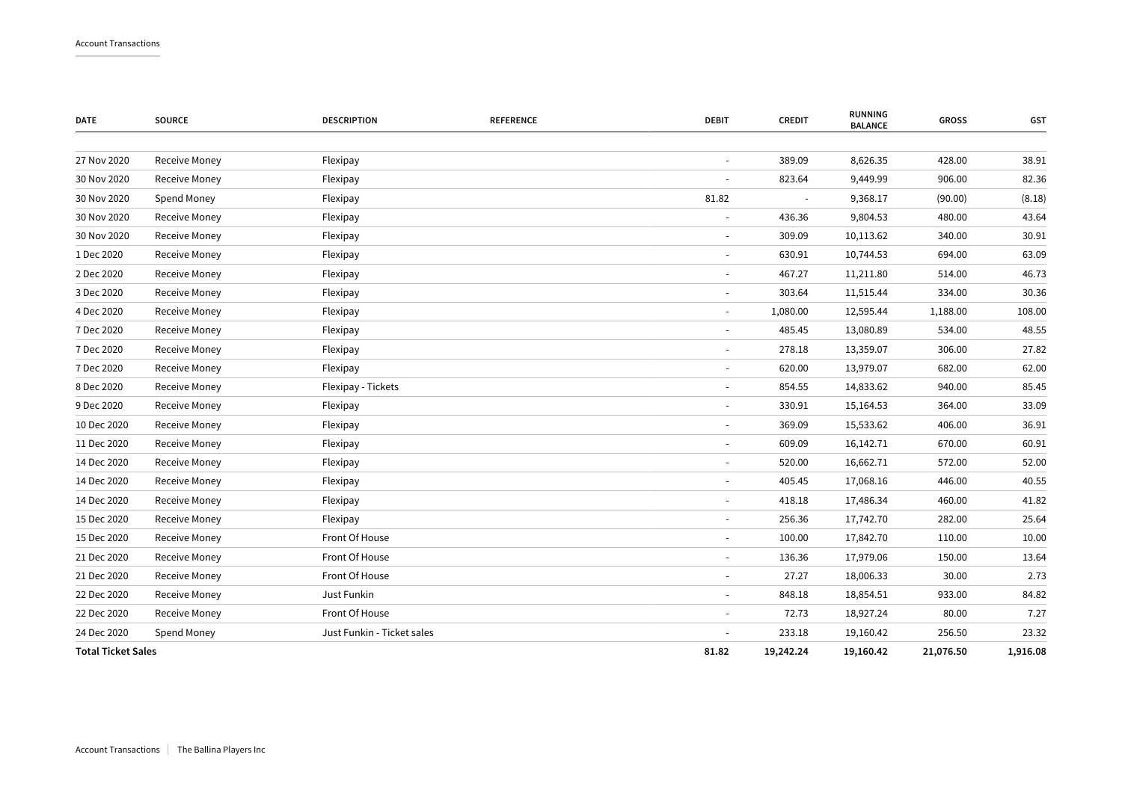| <b>DATE</b>               | <b>SOURCE</b>        | <b>DESCRIPTION</b>         | <b>REFERENCE</b> | <b>DEBIT</b>             | <b>CREDIT</b> | <b>RUNNING</b><br><b>BALANCE</b> | <b>GROSS</b> | <b>GST</b> |
|---------------------------|----------------------|----------------------------|------------------|--------------------------|---------------|----------------------------------|--------------|------------|
| 27 Nov 2020               | <b>Receive Money</b> | Flexipay                   |                  |                          | 389.09        | 8,626.35                         | 428.00       | 38.91      |
| 30 Nov 2020               | Receive Money        | Flexipay                   |                  |                          | 823.64        | 9,449.99                         | 906.00       | 82.36      |
| 30 Nov 2020               | Spend Money          | Flexipay                   |                  | 81.82                    |               | 9,368.17                         | (90.00)      | (8.18)     |
| 30 Nov 2020               | Receive Money        | Flexipay                   |                  | $\overline{\phantom{a}}$ | 436.36        | 9,804.53                         | 480.00       | 43.64      |
| 30 Nov 2020               | Receive Money        | Flexipay                   |                  | $\overline{\phantom{a}}$ | 309.09        | 10,113.62                        | 340.00       | 30.91      |
| 1 Dec 2020                | Receive Money        | Flexipay                   |                  | $\overline{\phantom{a}}$ | 630.91        | 10,744.53                        | 694.00       | 63.09      |
| 2 Dec 2020                | Receive Money        | Flexipay                   |                  | $\overline{\phantom{a}}$ | 467.27        | 11,211.80                        | 514.00       | 46.73      |
| 3 Dec 2020                | Receive Money        | Flexipay                   |                  | $\sim$                   | 303.64        | 11,515.44                        | 334.00       | 30.36      |
| 4 Dec 2020                | Receive Money        | Flexipay                   |                  | $\overline{\phantom{a}}$ | 1,080.00      | 12,595.44                        | 1,188.00     | 108.00     |
| 7 Dec 2020                | Receive Money        | Flexipay                   |                  |                          | 485.45        | 13,080.89                        | 534.00       | 48.55      |
| 7 Dec 2020                | Receive Money        | Flexipay                   |                  | $\overline{\phantom{a}}$ | 278.18        | 13,359.07                        | 306.00       | 27.82      |
| 7 Dec 2020                | Receive Money        | Flexipay                   |                  | $\overline{\phantom{a}}$ | 620.00        | 13,979.07                        | 682.00       | 62.00      |
| 8 Dec 2020                | Receive Money        | Flexipay - Tickets         |                  | $\sim$                   | 854.55        | 14,833.62                        | 940.00       | 85.45      |
| 9 Dec 2020                | Receive Money        | Flexipay                   |                  | $\overline{\phantom{a}}$ | 330.91        | 15,164.53                        | 364.00       | 33.09      |
| 10 Dec 2020               | Receive Money        | Flexipay                   |                  | $\sim$                   | 369.09        | 15,533.62                        | 406.00       | 36.91      |
| 11 Dec 2020               | Receive Money        | Flexipay                   |                  | $\sim$                   | 609.09        | 16,142.71                        | 670.00       | 60.91      |
| 14 Dec 2020               | Receive Money        | Flexipay                   |                  |                          | 520.00        | 16,662.71                        | 572.00       | 52.00      |
| 14 Dec 2020               | Receive Money        | Flexipay                   |                  | $\overline{\phantom{a}}$ | 405.45        | 17,068.16                        | 446.00       | 40.55      |
| 14 Dec 2020               | Receive Money        | Flexipay                   |                  | $\sim$                   | 418.18        | 17,486.34                        | 460.00       | 41.82      |
| 15 Dec 2020               | Receive Money        | Flexipay                   |                  | $\sim$                   | 256.36        | 17,742.70                        | 282.00       | 25.64      |
| 15 Dec 2020               | Receive Money        | Front Of House             |                  | $\overline{\phantom{a}}$ | 100.00        | 17,842.70                        | 110.00       | 10.00      |
| 21 Dec 2020               | Receive Money        | Front Of House             |                  | $\overline{\phantom{a}}$ | 136.36        | 17,979.06                        | 150.00       | 13.64      |
| 21 Dec 2020               | Receive Money        | Front Of House             |                  | $\overline{\phantom{a}}$ | 27.27         | 18,006.33                        | 30.00        | 2.73       |
| 22 Dec 2020               | Receive Money        | Just Funkin                |                  | $\overline{\phantom{a}}$ | 848.18        | 18,854.51                        | 933.00       | 84.82      |
| 22 Dec 2020               | Receive Money        | Front Of House             |                  | $\overline{\phantom{a}}$ | 72.73         | 18,927.24                        | 80.00        | 7.27       |
| 24 Dec 2020               | Spend Money          | Just Funkin - Ticket sales |                  |                          | 233.18        | 19,160.42                        | 256.50       | 23.32      |
| <b>Total Ticket Sales</b> |                      |                            |                  | 81.82                    | 19,242.24     | 19,160.42                        | 21,076.50    | 1,916.08   |